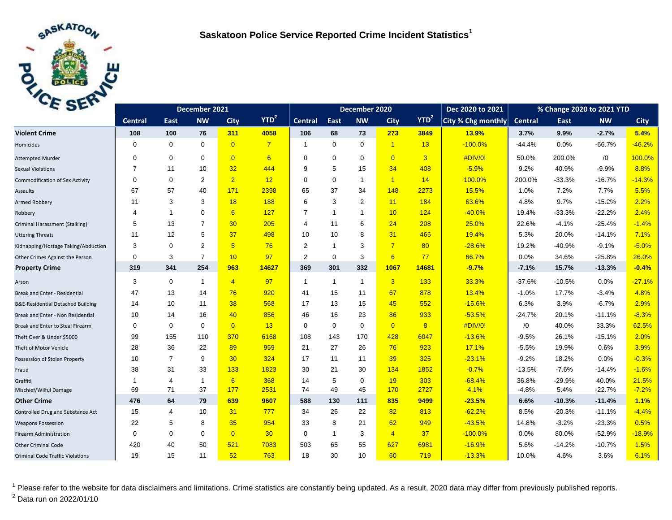

| C <sub>2F</sub>                              | December 2021  |                |                |                 |                | December 2020  |                |                |                | Dec 2020 to 2021 | % Change 2020 to 2021 YTD |                |          |            |             |
|----------------------------------------------|----------------|----------------|----------------|-----------------|----------------|----------------|----------------|----------------|----------------|------------------|---------------------------|----------------|----------|------------|-------------|
|                                              | <b>Central</b> | East           | <b>NW</b>      | <b>City</b>     | $YTD^2$        | <b>Central</b> | East           | <b>NW</b>      | <b>City</b>    | YTD <sup>2</sup> | City % Chg monthly        | <b>Central</b> | East     | <b>NW</b>  | <b>City</b> |
| <b>Violent Crime</b>                         | 108            | 100            | 76             | 311             | 4058           | 106            | 68             | 73             | 273            | 3849             | 13.9%                     | 3.7%           | 9.9%     | $-2.7%$    | 5.4%        |
| Homicides                                    | 0              | $\mathbf 0$    | $\mathbf 0$    | $\overline{0}$  | $\overline{7}$ |                | $\mathbf 0$    | $\mathbf 0$    | $\overline{1}$ | 13               | $-100.0%$                 | $-44.4%$       | 0.0%     | $-66.7%$   | $-46.2%$    |
| <b>Attempted Murder</b>                      | $\Omega$       | $\mathbf 0$    | $\mathbf 0$    | $\overline{0}$  | 6              | $\Omega$       | $\mathbf 0$    | $\mathbf 0$    | $\overline{0}$ | $\overline{3}$   | #DIV/0!                   | 50.0%          | 200.0%   | $\sqrt{0}$ | 100.0%      |
| <b>Sexual Violations</b>                     | 7              | 11             | 10             | 32              | 444            | 9              | 5              | 15             | 34             | 408              | $-5.9%$                   | 9.2%           | 40.9%    | $-9.9%$    | 8.8%        |
| <b>Commodification of Sex Activity</b>       | $\Omega$       | $\mathbf 0$    | $\overline{2}$ | 2 <sup>1</sup>  | 12             | $\Omega$       | $\Omega$       | $\mathbf{1}$   | $\overline{1}$ | 14               | 100.0%                    | 200.0%         | $-33.3%$ | $-16.7%$   | $-14.3%$    |
| Assaults                                     | 67             | 57             | 40             | 171             | 2398           | 65             | 37             | 34             | 148            | 2273             | 15.5%                     | 1.0%           | 7.2%     | 7.7%       | 5.5%        |
| Armed Robbery                                | 11             | 3              | 3              | 18              | 188            | 6              | 3              | 2              | 11             | 184              | 63.6%                     | 4.8%           | 9.7%     | $-15.2%$   | 2.2%        |
| Robbery                                      | 4              | $\overline{1}$ | $\mathbf 0$    | 6               | 127            | $\overline{7}$ | $\overline{1}$ | $\overline{1}$ | 10             | 124              | $-40.0%$                  | 19.4%          | $-33.3%$ | $-22.2%$   | 2.4%        |
| Criminal Harassment (Stalking)               | 5              | 13             | $\overline{7}$ | 30              | 205            | 4              | 11             | 6              | 24             | 208              | 25.0%                     | 22.6%          | $-4.1%$  | $-25.4%$   | $-1.4%$     |
| <b>Uttering Threats</b>                      | 11             | 12             | 5              | 37              | 498            | 10             | 10             | 8              | 31             | 465              | 19.4%                     | 5.3%           | 20.0%    | $-14.1%$   | 7.1%        |
| Kidnapping/Hostage Taking/Abduction          | 3              | $\mathbf 0$    | $\overline{2}$ | $5\overline{)}$ | 76             | 2              | $\overline{1}$ | 3              | $\overline{7}$ | 80               | $-28.6%$                  | 19.2%          | $-40.9%$ | $-9.1%$    | $-5.0%$     |
| Other Crimes Against the Person              | 0              | 3              | $\overline{7}$ | 10              | 97             | $\overline{2}$ | $\mathbf 0$    | 3              | 6              | 77               | 66.7%                     | 0.0%           | 34.6%    | $-25.8%$   | 26.0%       |
| <b>Property Crime</b>                        | 319            | 341            | 254            | 963             | 14627          | 369            | 301            | 332            | 1067           | 14681            | $-9.7%$                   | $-7.1%$        | 15.7%    | $-13.3%$   | $-0.4%$     |
| Arson                                        | 3              | $\mathbf 0$    | $\mathbf{1}$   | $\overline{4}$  | 97             | $\overline{1}$ | $\mathbf{1}$   | $\mathbf{1}$   | $\overline{3}$ | 133              | 33.3%                     | $-37.6%$       | $-10.5%$ | 0.0%       | $-27.1%$    |
| Break and Enter - Residential                | 47             | 13             | 14             | 76              | 920            | 41             | 15             | 11             | 67             | 878              | 13.4%                     | $-1.0%$        | 17.7%    | $-3.4%$    | 4.8%        |
| <b>B&amp;E-Residential Detached Building</b> | 14             | 10             | 11             | 38              | 568            | 17             | 13             | 15             | 45             | 552              | $-15.6%$                  | 6.3%           | 3.9%     | $-6.7%$    | 2.9%        |
| Break and Enter - Non Residential            | 10             | 14             | 16             | 40              | 856            | 46             | 16             | 23             | 86             | 933              | $-53.5%$                  | $-24.7%$       | 20.1%    | $-11.1%$   | $-8.3%$     |
| Break and Enter to Steal Firearm             | 0              | $\mathbf 0$    | $\mathbf 0$    | $\overline{0}$  | 13             | 0              | $\mathbf 0$    | $\mathbf 0$    | $\overline{0}$ | 8                | #DIV/0!                   | /0             | 40.0%    | 33.3%      | 62.5%       |
| Theft Over & Under \$5000                    | 99             | 155            | 110            | 370             | 6168           | 108            | 143            | 170            | 428            | 6047             | $-13.6%$                  | $-9.5%$        | 26.1%    | $-15.1%$   | 2.0%        |
| Theft of Motor Vehicle                       | 28             | 36             | 22             | 89              | 959            | 21             | 27             | 26             | 76             | 923              | 17.1%                     | $-5.5%$        | 19.9%    | 0.6%       | 3.9%        |
| Possession of Stolen Property                | 10             | $\overline{7}$ | 9              | 30              | 324            | 17             | 11             | 11             | 39             | 325              | $-23.1%$                  | $-9.2%$        | 18.2%    | 0.0%       | $-0.3%$     |
| Fraud                                        | 38             | 31             | 33             | 133             | 1823           | 30             | 21             | 30             | 134            | 1852             | $-0.7%$                   | $-13.5%$       | $-7.6%$  | $-14.4%$   | $-1.6%$     |
| Graffiti                                     | 1              | $\overline{4}$ | 1              | 6 <sup>1</sup>  | 368            | 14             | 5              | $\mathbf 0$    | 19             | 303              | $-68.4%$                  | 36.8%          | $-29.9%$ | 40.0%      | 21.5%       |
| Mischief/Wilful Damage                       | 69             | 71             | 37             | 177             | 2531           | 74             | 49             | 45             | 170            | 2727             | 4.1%                      | $-4.8%$        | 5.4%     | $-22.7%$   | $-7.2%$     |
| <b>Other Crime</b>                           | 476            | 64             | 79             | 639             | 9607           | 588            | 130            | 111            | 835            | 9499             | $-23.5%$                  | 6.6%           | $-10.3%$ | $-11.4%$   | 1.1%        |
| Controlled Drug and Substance Act            | 15             | $\overline{4}$ | 10             | 31              | 777            | 34             | 26             | 22             | 82             | 813              | $-62.2%$                  | 8.5%           | $-20.3%$ | $-11.1%$   | $-4.4%$     |
| <b>Weapons Possession</b>                    | 22             | 5              | 8              | 35              | 954            | 33             | 8              | 21             | 62             | 949              | $-43.5%$                  | 14.8%          | $-3.2%$  | $-23.3%$   | 0.5%        |
| <b>Firearm Administration</b>                | 0              | $\mathbf 0$    | $\mathbf 0$    | $\overline{0}$  | 30             | $\mathbf 0$    | $\mathbf{1}$   | 3              | $\overline{4}$ | 37               | $-100.0%$                 | 0.0%           | 80.0%    | $-52.9%$   | $-18.9%$    |
| <b>Other Criminal Code</b>                   | 420            | 40             | 50             | 521             | 7083           | 503            | 65             | 55             | 627            | 6981             | $-16.9%$                  | 5.6%           | $-14.2%$ | $-10.7%$   | 1.5%        |
| <b>Criminal Code Traffic Violations</b>      | 19             | 15             | 11             | 52              | 763            | 18             | 30             | 10             | 60             | 719              | $-13.3%$                  | 10.0%          | 4.6%     | 3.6%       | 6.1%        |

<sup>1</sup> Please refer to the website for data disclaimers and limitations. Crime statistics are constantly being updated. As a result, 2020 data may differ from previously published reports.  $^{2}$  Data run on 2022/01/10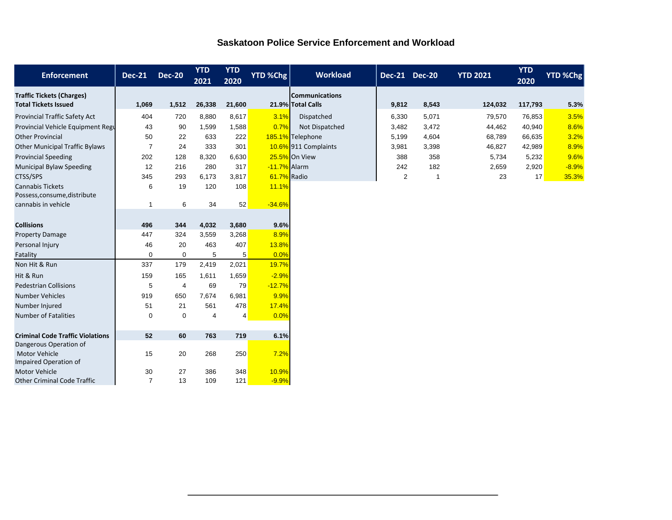|  |  | <b>Saskatoon Police Service Enforcement and Workload</b> |  |
|--|--|----------------------------------------------------------|--|
|  |  |                                                          |  |

| <b>Enforcement</b>                                                | <b>Dec-21</b>  | <b>Dec-20</b>  | <b>YTD</b><br>2021 | <b>YTD</b><br>2020 | <b>YTD %Chg</b> | <b>Workload</b>                            | Dec-21 Dec-20 |              | <b>YTD 2021</b> | <b>YTD</b><br>2020 | <b>YTD %Chg</b> |
|-------------------------------------------------------------------|----------------|----------------|--------------------|--------------------|-----------------|--------------------------------------------|---------------|--------------|-----------------|--------------------|-----------------|
| <b>Traffic Tickets (Charges)</b><br><b>Total Tickets Issued</b>   | 1,069          | 1,512          | 26,338             | 21,600             |                 | <b>Communications</b><br>21.9% Total Calls | 9,812         | 8,543        | 124,032         | 117,793            | 5.3%            |
| <b>Provincial Traffic Safety Act</b>                              | 404            | 720            | 8,880              | 8,617              | 3.1%            | Dispatched                                 | 6,330         | 5,071        | 79,570          | 76,853             | 3.5%            |
| Provincial Vehicle Equipment Regu                                 | 43             | 90             | 1,599              | 1,588              | 0.7%            | Not Dispatched                             | 3,482         | 3,472        | 44,462          | 40,940             | 8.6%            |
| <b>Other Provincial</b>                                           | 50             | 22             | 633                | 222                |                 | 185.1% Telephone                           | 5,199         | 4,604        | 68,789          | 66,635             | 3.2%            |
| <b>Other Municipal Traffic Bylaws</b>                             | $\overline{7}$ | 24             | 333                | 301                |                 | 10.6% 911 Complaints                       | 3,981         | 3,398        | 46,827          | 42,989             | 8.9%            |
| <b>Provincial Speeding</b>                                        | 202            | 128            | 8,320              | 6,630              |                 | 25.5% On View                              | 388           | 358          | 5,734           | 5,232              | 9.6%            |
| <b>Municipal Bylaw Speeding</b>                                   | 12             | 216            | 280                | 317                | -11.7% Alarm    |                                            | 242           | 182          | 2,659           | 2,920              | $-8.9%$         |
| CTSS/SPS                                                          | 345            | 293            | 6,173              | 3,817              | 61.7% Radio     |                                            | 2             | $\mathbf{1}$ | 23              | 17                 | 35.3%           |
| <b>Cannabis Tickets</b><br>Possess, consume, distribute           | 6              | 19             | 120                | 108                | 11.1%           |                                            |               |              |                 |                    |                 |
| cannabis in vehicle                                               | -1             | 6              | 34                 | 52                 | $-34.6%$        |                                            |               |              |                 |                    |                 |
|                                                                   |                |                |                    |                    |                 |                                            |               |              |                 |                    |                 |
| <b>Collisions</b>                                                 | 496            | 344            | 4,032              | 3,680              | 9.6%            |                                            |               |              |                 |                    |                 |
| <b>Property Damage</b>                                            | 447            | 324            | 3,559              | 3,268              | 8.9%            |                                            |               |              |                 |                    |                 |
| Personal Injury                                                   | 46             | 20             | 463                | 407                | 13.8%           |                                            |               |              |                 |                    |                 |
| Fatality                                                          | $\Omega$       | 0              | 5                  | 5                  | 0.0%            |                                            |               |              |                 |                    |                 |
| Non Hit & Run                                                     | 337            | 179            | 2,419              | 2,021              | 19.7%           |                                            |               |              |                 |                    |                 |
| Hit & Run                                                         | 159            | 165            | 1.611              | 1,659              | $-2.9%$         |                                            |               |              |                 |                    |                 |
| <b>Pedestrian Collisions</b>                                      | 5              | $\overline{4}$ | 69                 | 79                 | $-12.7%$        |                                            |               |              |                 |                    |                 |
| <b>Number Vehicles</b>                                            | 919            | 650            | 7,674              | 6,981              | 9.9%            |                                            |               |              |                 |                    |                 |
| Number Injured                                                    | 51             | 21             | 561                | 478                | 17.4%           |                                            |               |              |                 |                    |                 |
| <b>Number of Fatalities</b>                                       | $\Omega$       | 0              | 4                  | 4                  | 0.0%            |                                            |               |              |                 |                    |                 |
|                                                                   |                |                |                    |                    |                 |                                            |               |              |                 |                    |                 |
| <b>Criminal Code Traffic Violations</b><br>Dangerous Operation of | 52             | 60             | 763                | 719                | 6.1%            |                                            |               |              |                 |                    |                 |
| Motor Vehicle<br>Impaired Operation of                            | 15             | 20             | 268                | 250                | 7.2%            |                                            |               |              |                 |                    |                 |
| <b>Motor Vehicle</b>                                              | 30             | 27             | 386                | 348                | 10.9%           |                                            |               |              |                 |                    |                 |
| <b>Other Criminal Code Traffic</b>                                | $\overline{7}$ | 13             | 109                | 121                | $-9.9%$         |                                            |               |              |                 |                    |                 |